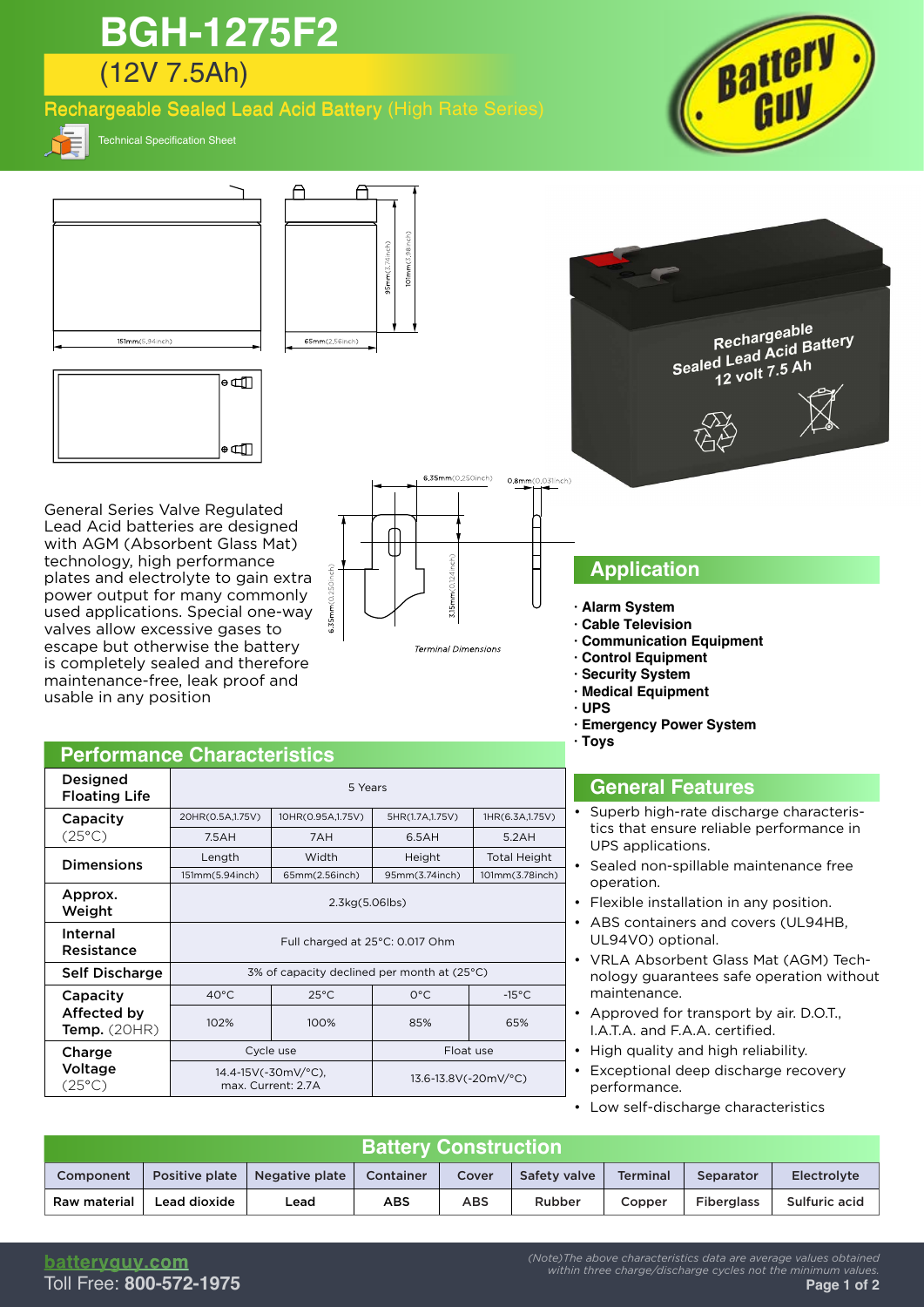# (12V 7.5Ah) **BGH-1275F2**

### Rechargeable Sealed Lead Acid Battery (High Rate Series)



Technical Specification Sheet



7.5AH 7AH 6.5AH 5.2AH

40°C 25°C 0°C -15°C 102% 100% 85% 65%

Cycle use **Float use** Float use

151mm(5.94inch) 65mm(2.56inch) 95mm(3.74inch) 101mm(3.78inch)

**Dimensions** Length Width Height Total Height<br>
151mm(5.94inch) 65mm(2.56inch) 95mm(3.74inch) 101mm(3.78inch)

Approx.<br>
Weight 2.3kg(5.06lbs)

Internal<br>Resistance **Full charged at 25°C: 0.017 Ohm** 

Self Discharge | 3% of capacity declined per month at (25°C)

14.4-15V(-30mV/°C),<br>max. Current: 2.7A

- tics that ensure reliable performance in UPS applications.
- Sealed non-spillable maintenance free operation. •
- Flexible installation in any position.
- ABS containers and covers (UL94HB, UL94V0) optional. •
- VRLA Absorbent Glass Mat (AGM) Tech-• nology guarantees safe operation without maintenance.
- Approved for transport by air. D.O.T., I.A.T.A. and F.A.A. certified. •
- High quality and high reliability.
- Exceptional deep discharge recovery performance.
- Low self-discharge characteristics

| <b>Battery Construction</b> |                |                |                  |            |              |          |                   |               |  |
|-----------------------------|----------------|----------------|------------------|------------|--------------|----------|-------------------|---------------|--|
| Component                   | Positive plate | Negative plate | <b>Container</b> | Cover      | Safety valve | Terminal | Separator         | Electrolyte   |  |
| Raw material                | Lead dioxide   | Lead           | <b>ABS</b>       | <b>ABS</b> | Rubber       | Copper   | <b>Fiberglass</b> | Sulfuric acid |  |

13.6-13.8V(-20mV/°C)

Capacity (25°C)

Approx.

Internal

Capacity Affected by Temp. (20HR)

**Charge** Voltage (25°C)